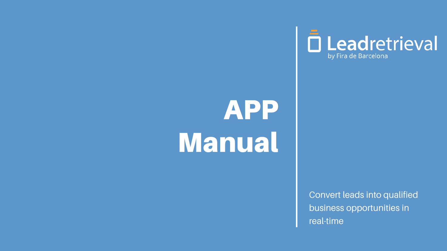## APP Manual

# D Leadretrieval

Convert leads into qualified business opportunities in real-time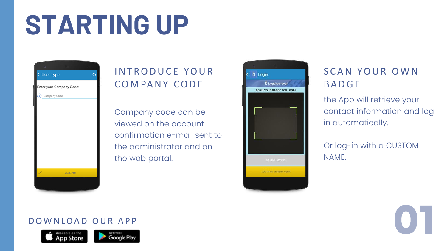## STARTING UP



## INTRODUCE YOUR COMPANY CODE

Company code can be viewed on the account confirmation e-mail sent to the administrator and on the web portal.



### DOWNLOAD OUR APP





## SCAN YOUR OWN **BADGE**

the App will retrieve your contact information and log in automatically.

Or log-in with a CUSTOM NAME.

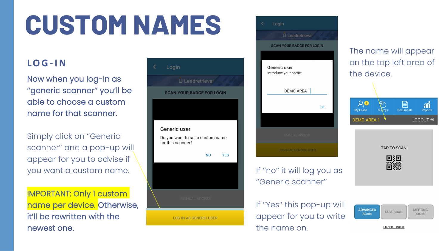## CUSTOM NAMES

### **L O G-I N**

Now when you log-in as ''generic scanner'' you'll be able to choose a custom name for that scanner.

Simply click on ''Generic scanner'' and a pop-up will appear for you to advise if you want a custom name.

IMPORTANT: Only 1 custom name per device. Otherwise, it'll be rewritten with the newest one.





If ''no'' it will log you as ''Generic scanner''

If ''Yes'' this pop-up will appear for you to write the name on.





**TAP TO SCAN** 





**MEETING FAST SCAN ROOMS** 

**MANUAL INPUT** 

**ADVANCED** 

**SCAN**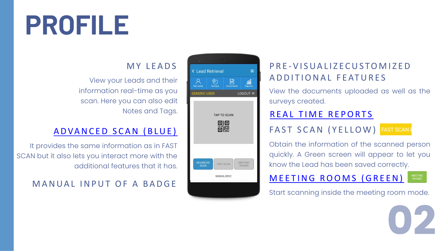## PROFILE

### **MY LEADS**

### P R E - V I S U A L I Z E C U S T O M I Z E D A D D I T I O N A L FEATURES

View your Leads and their information real-time as you scan. Here you can also edit Notes and Tags.

### A D V A N C E D S C A N (B L U E )

View the documents uploaded as well as the surveys created.

### REAL TIME REPORTS

FAST SCAN (YELLOW) FAST SCAN E

It provides the same information as in FAST SCAN but it also lets you interact more with the additional features that it has.



Obtain the information of the scanned person quickly. A Green screen will appear to let you know the Lead has been saved correctly.

## M A N U A L I N P U T O F A B A D G E MANUALINE ME TING ROOMS (GREEN)

MEETING<br>ROOMS

Start scanning inside the meeting room mode.

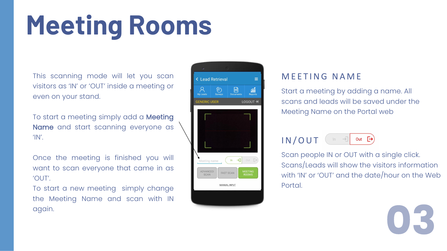## <span id="page-4-0"></span>Meeting Rooms

Start a meeting by adding a name. All scans and leads will be saved under the Meeting Name on the Portal web

This scanning mode will let you scan visitors as 'IN' or 'OUT' inside a meeting or even on your stand.

### Out  $\left[\rightarrow\right]$ I N / O U T

To start a meeting simply add a Meeting Name and start scanning everyone as 'IN'.

Once the meeting is finished you will want to scan everyone that came in as 'OUT'.

To start a new meeting simply change the Meeting Name and scan with IN again.



### MEETING NAME

Scan people IN or OUT with a single click. Scans/Leads will show the visitors information with 'IN' or 'OUT' and the date/hour on the Web Portal.

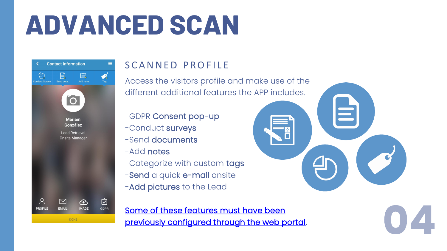## <span id="page-5-0"></span>ADVANCED SCAN

| <b>Contact Information</b><br>く |              |                                                |                  |
|---------------------------------|--------------|------------------------------------------------|------------------|
| <b>Conduct Survey</b>           | Send docs.   | E.<br>Add note                                 | <b>Tag</b>       |
|                                 | C            | <b>Mariam</b><br><b>González</b>               |                  |
|                                 |              | <b>Lead Retrieval</b><br><b>Onsite Manager</b> |                  |
| <b>PROFILE</b>                  | <b>EMAIL</b> | <b>IMAGE</b>                                   | ⊽<br><b>GDPR</b> |
|                                 |              | <b>DONE</b>                                    |                  |

## S CANNED PROFILE

- -GDPR Consent pop-up
- -Conduct surveys
- -Send documents
- -Add notes
- -Categorize with custom tags
- -Send a quick e-mail onsite
- -Add pictures to the Lead

Access the visitors profile and make use of the different additional features the APP includes.

Some of these features must have been [previously configured through the web portal](http://media.firabcn.es/content/lead_retrival/Documents%20PDF/2021/WEB%20PORTAL%20MANUAL_Lead%20Retrieval%20by%20Fira%20Barcelona.pdf).



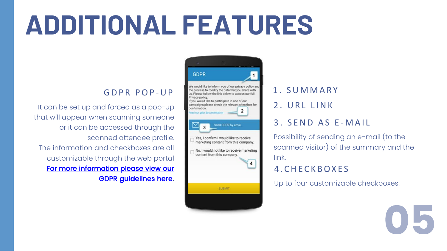## ADDITIONAL FEATURES

### GDPR POP-UP

- 1 . S U M M A R Y
- 2. URL LINK
- 3. SEND AS E-MAIL
- Possibility of sending an e-mail (to the scanned visitor) of the summary and the link.
- 4 . C H E C K B O X E S
- Up to four customizable checkboxes.



It can be set up and forced as a pop-up that will appear when scanning someone or it can be accessed through the scanned attendee profile. The information and checkboxes are all customizable through the web portal [For more information](https://docs.google.com/presentation/d/1dHkod5hGmNTpGBfASB2gAqIlIK8HmB0TERKjMWDV5ZM/edit?usp=sharing) please view our GDPR guidelines here.



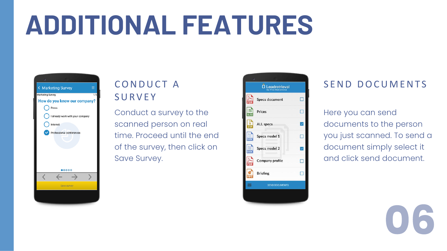## ADDITIONAL FEATURES



## CONDUCT A **SURVEY**

Conduct a survey to the scanned person on real time. Proceed until the end of the survey, then click on Save Survey.

|      | Ω<br>Leadret        |
|------|---------------------|
|      | <b>Specs docume</b> |
| xLsx | Prices              |
|      | <b>ALL specs</b>    |
| DOC  | Specs model 1       |
| DOC  | Specs model 2       |
|      | Company prof        |
|      | <b>Briefing</b>     |
|      | <b>SEND DOCK</b>    |
|      |                     |
|      |                     |





### SEND DOCUMENTS

Here you can send documents to the person you just scanned. To send a document simply select it and click send document.

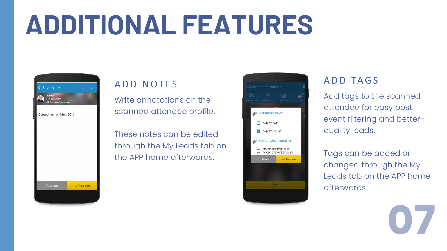## ADDITIONAL FEATURES



## A D D N O T E S

Write annotations on the scanned attendee profile.

These notes can be edited through the My Leads tab on the APP home afterwards.





### ADD TAGS

Add tags to the scanned attendee for easy postevent filtering and betterquality leads.

Tags can be added or changed through the My Leads tab on the APP home afterwards.

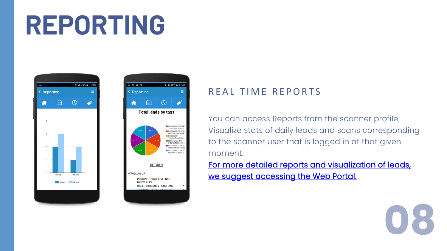## <span id="page-9-0"></span>REPORTING





### REAL TIME REPORTS

You can access Reports from the scanner profile. Visualize stats of daily leads and scans corresponding to the scanner user that is logged in at that given moment. [For more detailed reports and visualization of leads,](http://media.firabcn.es/content/lead_retrival/Documents%20PDF/2021/WEB%20PORTAL%20MANUAL_Lead%20Retrieval%20by%20Fira%20Barcelona.pdf)  we suggest accessing the Web Portal.

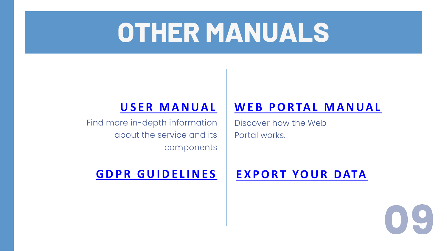## OTHER MANUALS

## **WEB PORTAL MANUAL**

## **[U S E R M A N U A L](https://drive.google.com/file/d/1vJcJDZBJQypYNuppqPjvPleasPvE3tRV/view?usp=sharing)**

Find more in-depth information about the service and its components

Discover how the Web Portal works.

## **[G D P R G U I D E L I N E S](https://docs.google.com/presentation/d/1dHkod5hGmNTpGBfASB2gAqIlIK8HmB0TERKjMWDV5ZM/edit?usp=sharing) [E X P O R T YO U R D ATA](http://media.firabcn.es/content/lead_retrival/Documents%20PDF/2021/EXPORT%20YOUR%20DATA_Lead%20Retrieval%20by%20Fira%20Barcelona.pdf)**